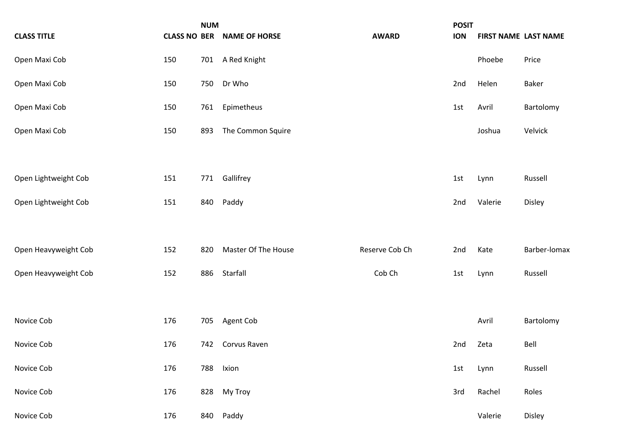|                      |     | <b>NUM</b> |                                   |                | <b>POSIT</b> |                      |              |
|----------------------|-----|------------|-----------------------------------|----------------|--------------|----------------------|--------------|
| <b>CLASS TITLE</b>   |     |            | <b>CLASS NO BER NAME OF HORSE</b> | <b>AWARD</b>   | <b>ION</b>   | FIRST NAME LAST NAME |              |
| Open Maxi Cob        | 150 | 701        | A Red Knight                      |                |              | Phoebe               | Price        |
| Open Maxi Cob        | 150 | 750        | Dr Who                            |                | 2nd          | Helen                | <b>Baker</b> |
| Open Maxi Cob        | 150 | 761        | Epimetheus                        |                | 1st          | Avril                | Bartolomy    |
| Open Maxi Cob        | 150 | 893        | The Common Squire                 |                |              | Joshua               | Velvick      |
|                      |     |            |                                   |                |              |                      |              |
| Open Lightweight Cob | 151 | 771        | Gallifrey                         |                | 1st          | Lynn                 | Russell      |
| Open Lightweight Cob | 151 | 840        | Paddy                             |                | 2nd          | Valerie              | Disley       |
|                      |     |            |                                   |                |              |                      |              |
| Open Heavyweight Cob | 152 | 820        | Master Of The House               | Reserve Cob Ch | 2nd          | Kate                 | Barber-lomax |
| Open Heavyweight Cob | 152 | 886        | Starfall                          | Cob Ch         | 1st          | Lynn                 | Russell      |
|                      |     |            |                                   |                |              |                      |              |
| Novice Cob           | 176 | 705        | Agent Cob                         |                |              | Avril                | Bartolomy    |
| Novice Cob           | 176 | 742        | Corvus Raven                      |                | 2nd          | Zeta                 | Bell         |
| Novice Cob           | 176 | 788        | Ixion                             |                | 1st          | Lynn                 | Russell      |
| Novice Cob           | 176 |            | 828 My Troy                       |                | 3rd          | Rachel               | Roles        |
| Novice Cob           | 176 |            | 840 Paddy                         |                |              | Valerie              | Disley       |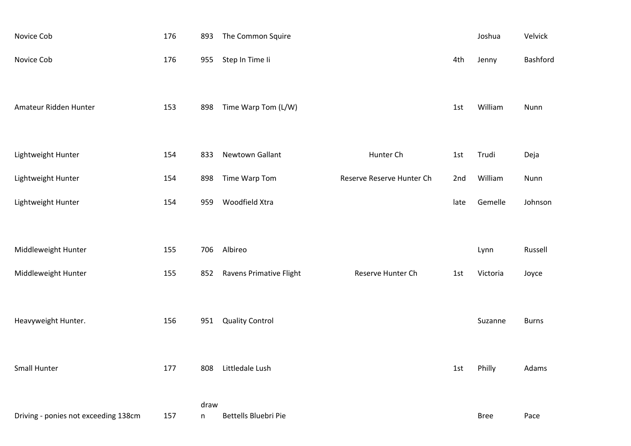| Novice Cob                           | 176 | 893       | The Common Squire       |                           |      | Joshua      | Velvick      |
|--------------------------------------|-----|-----------|-------------------------|---------------------------|------|-------------|--------------|
| Novice Cob                           | 176 | 955       | Step In Time Ii         |                           | 4th  | Jenny       | Bashford     |
| Amateur Ridden Hunter                | 153 | 898       | Time Warp Tom (L/W)     |                           | 1st  | William     | Nunn         |
| Lightweight Hunter                   | 154 | 833       | Newtown Gallant         | Hunter Ch                 | 1st  | Trudi       | Deja         |
| Lightweight Hunter                   | 154 | 898       | Time Warp Tom           | Reserve Reserve Hunter Ch | 2nd  | William     | Nunn         |
| Lightweight Hunter                   | 154 | 959       | Woodfield Xtra          |                           | late | Gemelle     | Johnson      |
| Middleweight Hunter                  | 155 | 706       | Albireo                 |                           |      | Lynn        | Russell      |
| Middleweight Hunter                  | 155 | 852       | Ravens Primative Flight | Reserve Hunter Ch         | 1st  | Victoria    | Joyce        |
| Heavyweight Hunter.                  | 156 | 951       | <b>Quality Control</b>  |                           |      | Suzanne     | <b>Burns</b> |
| Small Hunter                         | 177 | 808       | Littledale Lush         |                           | 1st  | Philly      | Adams        |
| Driving - ponies not exceeding 138cm | 157 | draw<br>n | Bettells Bluebri Pie    |                           |      | <b>Bree</b> | Pace         |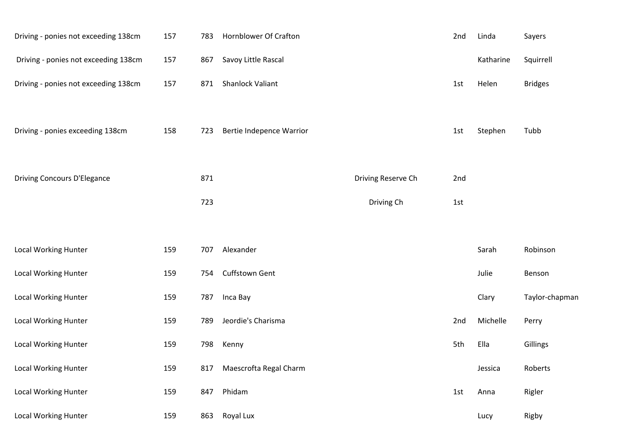| Driving - ponies not exceeding 138cm | 157 | 783 | Hornblower Of Crafton    |                    | 2nd | Linda     | Sayers         |
|--------------------------------------|-----|-----|--------------------------|--------------------|-----|-----------|----------------|
| Driving - ponies not exceeding 138cm | 157 | 867 | Savoy Little Rascal      |                    |     | Katharine | Squirrell      |
| Driving - ponies not exceeding 138cm | 157 | 871 | <b>Shanlock Valiant</b>  |                    | 1st | Helen     | <b>Bridges</b> |
|                                      |     |     |                          |                    |     |           |                |
| Driving - ponies exceeding 138cm     | 158 | 723 | Bertie Indepence Warrior |                    | 1st | Stephen   | Tubb           |
|                                      |     |     |                          |                    |     |           |                |
| <b>Driving Concours D'Elegance</b>   |     | 871 |                          | Driving Reserve Ch | 2nd |           |                |
|                                      |     | 723 |                          | Driving Ch         | 1st |           |                |
|                                      |     |     |                          |                    |     |           |                |
| Local Working Hunter                 | 159 | 707 | Alexander                |                    |     | Sarah     | Robinson       |
| Local Working Hunter                 | 159 | 754 | Cuffstown Gent           |                    |     | Julie     | Benson         |
| Local Working Hunter                 | 159 | 787 | Inca Bay                 |                    |     | Clary     | Taylor-chapman |
| <b>Local Working Hunter</b>          | 159 | 789 | Jeordie's Charisma       |                    | 2nd | Michelle  | Perry          |
| Local Working Hunter                 | 159 | 798 | Kenny                    |                    | 5th | Ella      | Gillings       |
| Local Working Hunter                 | 159 | 817 | Maescrofta Regal Charm   |                    |     | Jessica   | Roberts        |
| <b>Local Working Hunter</b>          | 159 | 847 | Phidam                   |                    | 1st | Anna      | Rigler         |
| Local Working Hunter                 | 159 | 863 | Royal Lux                |                    |     | Lucy      | Rigby          |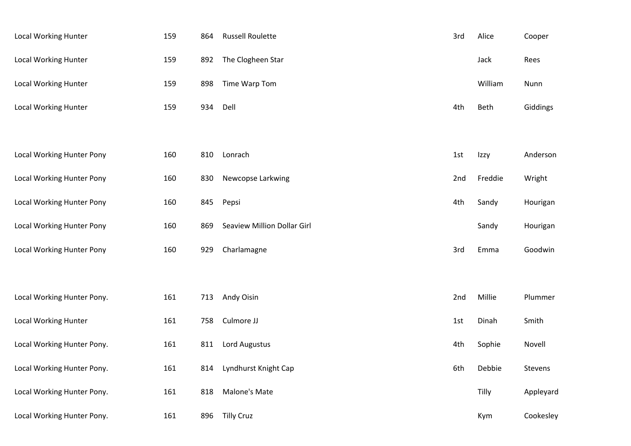| Local Working Hunter             | 159 | 864 | <b>Russell Roulette</b>     | 3rd | Alice   | Cooper    |
|----------------------------------|-----|-----|-----------------------------|-----|---------|-----------|
| Local Working Hunter             | 159 | 892 | The Clogheen Star           |     | Jack    | Rees      |
| <b>Local Working Hunter</b>      | 159 | 898 | Time Warp Tom               |     | William | Nunn      |
| Local Working Hunter             | 159 | 934 | Dell                        | 4th | Beth    | Giddings  |
|                                  |     |     |                             |     |         |           |
| Local Working Hunter Pony        | 160 | 810 | Lonrach                     | 1st | Izzy    | Anderson  |
| <b>Local Working Hunter Pony</b> | 160 | 830 | Newcopse Larkwing           | 2nd | Freddie | Wright    |
| Local Working Hunter Pony        | 160 | 845 | Pepsi                       | 4th | Sandy   | Hourigan  |
| Local Working Hunter Pony        | 160 | 869 | Seaview Million Dollar Girl |     | Sandy   | Hourigan  |
| Local Working Hunter Pony        | 160 | 929 | Charlamagne                 | 3rd | Emma    | Goodwin   |
|                                  |     |     |                             |     |         |           |
| Local Working Hunter Pony.       | 161 | 713 | Andy Oisin                  | 2nd | Millie  | Plummer   |
| Local Working Hunter             | 161 | 758 | Culmore JJ                  | 1st | Dinah   | Smith     |
| Local Working Hunter Pony.       | 161 | 811 | Lord Augustus               | 4th | Sophie  | Novell    |
| Local Working Hunter Pony.       | 161 | 814 | Lyndhurst Knight Cap        | 6th | Debbie  | Stevens   |
| Local Working Hunter Pony.       | 161 | 818 | Malone's Mate               |     | Tilly   | Appleyard |
| Local Working Hunter Pony.       | 161 | 896 | <b>Tilly Cruz</b>           |     | Kym     | Cookesley |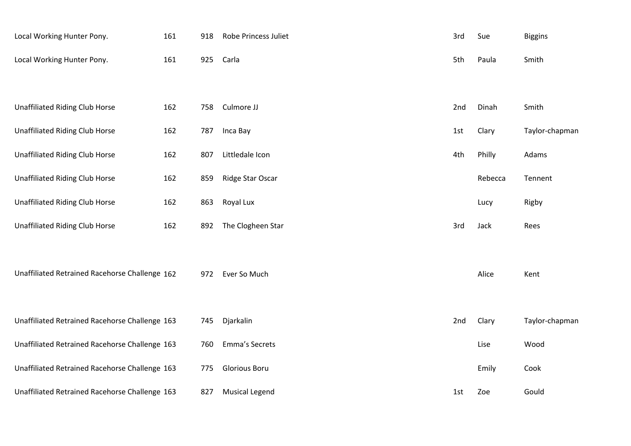| Local Working Hunter Pony.                     | 161 | 918 | Robe Princess Juliet  | 3rd | Sue     | <b>Biggins</b> |
|------------------------------------------------|-----|-----|-----------------------|-----|---------|----------------|
| Local Working Hunter Pony.                     | 161 | 925 | Carla                 | 5th | Paula   | Smith          |
|                                                |     |     |                       |     |         |                |
| <b>Unaffiliated Riding Club Horse</b>          | 162 | 758 | Culmore JJ            | 2nd | Dinah   | Smith          |
| <b>Unaffiliated Riding Club Horse</b>          | 162 | 787 | Inca Bay              | 1st | Clary   | Taylor-chapman |
| <b>Unaffiliated Riding Club Horse</b>          | 162 | 807 | Littledale Icon       | 4th | Philly  | Adams          |
| <b>Unaffiliated Riding Club Horse</b>          | 162 | 859 | Ridge Star Oscar      |     | Rebecca | Tennent        |
| <b>Unaffiliated Riding Club Horse</b>          | 162 | 863 | Royal Lux             |     | Lucy    | Rigby          |
| <b>Unaffiliated Riding Club Horse</b>          | 162 | 892 | The Clogheen Star     | 3rd | Jack    | Rees           |
|                                                |     |     |                       |     |         |                |
| Unaffiliated Retrained Racehorse Challenge 162 |     | 972 | Ever So Much          |     | Alice   | Kent           |
|                                                |     |     |                       |     |         |                |
| Unaffiliated Retrained Racehorse Challenge 163 |     | 745 | Djarkalin             | 2nd | Clary   | Taylor-chapman |
| Unaffiliated Retrained Racehorse Challenge 163 |     | 760 | Emma's Secrets        |     | Lise    | Wood           |
| Unaffiliated Retrained Racehorse Challenge 163 |     | 775 | <b>Glorious Boru</b>  |     | Emily   | Cook           |
| Unaffiliated Retrained Racehorse Challenge 163 |     | 827 | <b>Musical Legend</b> | 1st | Zoe     | Gould          |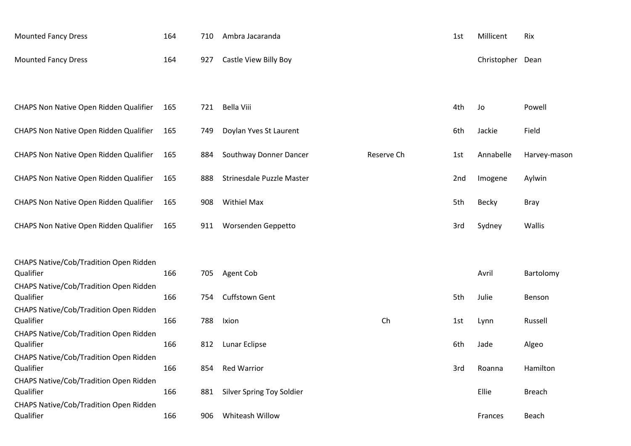| <b>Mounted Fancy Dress</b>                          | 164 | 710 | Ambra Jacaranda           |            | 1st | Millicent        | Rix           |
|-----------------------------------------------------|-----|-----|---------------------------|------------|-----|------------------|---------------|
| <b>Mounted Fancy Dress</b>                          | 164 | 927 | Castle View Billy Boy     |            |     | Christopher Dean |               |
|                                                     |     |     |                           |            |     |                  |               |
| CHAPS Non Native Open Ridden Qualifier              | 165 | 721 | Bella Viii                |            | 4th | Jo               | Powell        |
| CHAPS Non Native Open Ridden Qualifier              | 165 | 749 | Doylan Yves St Laurent    |            | 6th | Jackie           | Field         |
| CHAPS Non Native Open Ridden Qualifier              | 165 | 884 | Southway Donner Dancer    | Reserve Ch | 1st | Annabelle        | Harvey-mason  |
| CHAPS Non Native Open Ridden Qualifier              | 165 | 888 | Strinesdale Puzzle Master |            | 2nd | Imogene          | Aylwin        |
| CHAPS Non Native Open Ridden Qualifier              | 165 | 908 | <b>Withiel Max</b>        |            | 5th | <b>Becky</b>     | <b>Bray</b>   |
| CHAPS Non Native Open Ridden Qualifier              | 165 | 911 | Worsenden Geppetto        |            | 3rd | Sydney           | Wallis        |
| CHAPS Native/Cob/Tradition Open Ridden              |     |     |                           |            |     |                  |               |
| Qualifier                                           | 166 | 705 | Agent Cob                 |            |     | Avril            | Bartolomy     |
| CHAPS Native/Cob/Tradition Open Ridden<br>Qualifier | 166 | 754 | <b>Cuffstown Gent</b>     |            | 5th | Julie            | Benson        |
| CHAPS Native/Cob/Tradition Open Ridden<br>Qualifier | 166 | 788 | Ixion                     | Ch         | 1st | Lynn             | Russell       |
| CHAPS Native/Cob/Tradition Open Ridden<br>Qualifier | 166 | 812 | Lunar Eclipse             |            | 6th | Jade             | Algeo         |
| CHAPS Native/Cob/Tradition Open Ridden<br>Qualifier | 166 | 854 | <b>Red Warrior</b>        |            | 3rd | Roanna           | Hamilton      |
| CHAPS Native/Cob/Tradition Open Ridden<br>Qualifier | 166 | 881 | Silver Spring Toy Soldier |            |     | Ellie            | <b>Breach</b> |
| CHAPS Native/Cob/Tradition Open Ridden<br>Qualifier | 166 | 906 | Whiteash Willow           |            |     | Frances          | Beach         |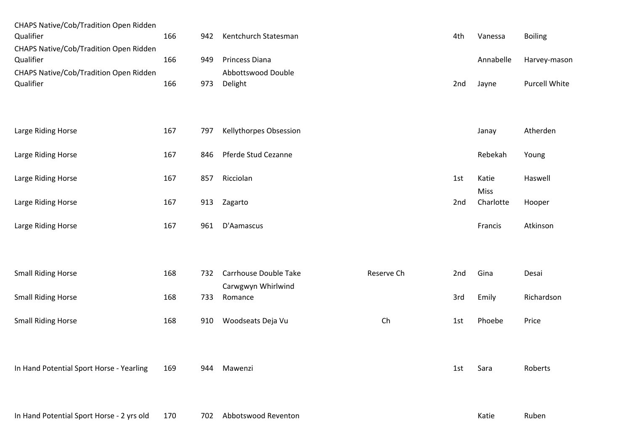| CHAPS Native/Cob/Tradition Open Ridden    |     |     |                        |            |     |           |                      |
|-------------------------------------------|-----|-----|------------------------|------------|-----|-----------|----------------------|
| Qualifier                                 | 166 | 942 | Kentchurch Statesman   |            | 4th | Vanessa   | <b>Boiling</b>       |
| CHAPS Native/Cob/Tradition Open Ridden    |     |     |                        |            |     |           |                      |
| Qualifier                                 | 166 | 949 | Princess Diana         |            |     | Annabelle | Harvey-mason         |
| CHAPS Native/Cob/Tradition Open Ridden    |     |     | Abbottswood Double     |            |     |           |                      |
| Qualifier                                 | 166 | 973 | Delight                |            | 2nd | Jayne     | <b>Purcell White</b> |
|                                           |     |     |                        |            |     |           |                      |
|                                           |     |     |                        |            |     |           |                      |
| Large Riding Horse                        | 167 | 797 | Kellythorpes Obsession |            |     | Janay     | Atherden             |
|                                           |     |     |                        |            |     |           |                      |
| Large Riding Horse                        | 167 | 846 | Pferde Stud Cezanne    |            |     | Rebekah   | Young                |
| Large Riding Horse                        | 167 | 857 | Ricciolan              |            | 1st | Katie     | Haswell              |
|                                           |     |     |                        |            |     | Miss      |                      |
| Large Riding Horse                        | 167 | 913 | Zagarto                |            | 2nd | Charlotte | Hooper               |
|                                           |     |     |                        |            |     |           |                      |
| Large Riding Horse                        | 167 | 961 | D'Aamascus             |            |     | Francis   | Atkinson             |
|                                           |     |     |                        |            |     |           |                      |
|                                           |     |     |                        |            |     |           |                      |
| <b>Small Riding Horse</b>                 | 168 | 732 | Carrhouse Double Take  | Reserve Ch | 2nd | Gina      | Desai                |
|                                           |     |     | Carwgwyn Whirlwind     |            |     |           |                      |
| <b>Small Riding Horse</b>                 | 168 | 733 | Romance                |            | 3rd | Emily     | Richardson           |
| <b>Small Riding Horse</b>                 | 168 | 910 | Woodseats Deja Vu      | Ch         | 1st | Phoebe    | Price                |
|                                           |     |     |                        |            |     |           |                      |
|                                           |     |     |                        |            |     |           |                      |
|                                           |     |     |                        |            |     |           |                      |
| In Hand Potential Sport Horse - Yearling  | 169 | 944 | Mawenzi                |            | 1st | Sara      | Roberts              |
|                                           |     |     |                        |            |     |           |                      |
|                                           |     |     |                        |            |     |           |                      |
| In Hand Potential Sport Horse - 2 yrs old | 170 | 702 | Abbotswood Reventon    |            |     | Katie     | Ruben                |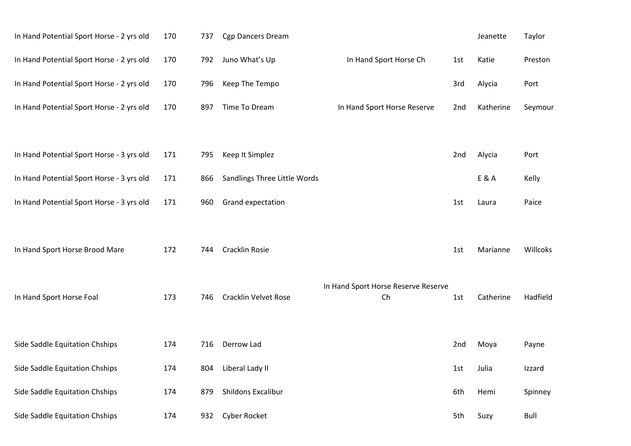| In Hand Potential Sport Horse - 2 yrs old | 170 | 737 | <b>Cgp Dancers Dream</b>     |                                     |     | Jeanette         | Taylor   |
|-------------------------------------------|-----|-----|------------------------------|-------------------------------------|-----|------------------|----------|
| In Hand Potential Sport Horse - 2 yrs old | 170 | 792 | Juno What's Up               | In Hand Sport Horse Ch              | 1st | Katie            | Preston  |
| In Hand Potential Sport Horse - 2 yrs old | 170 | 796 | Keep The Tempo               |                                     | 3rd | Alycia           | Port     |
| In Hand Potential Sport Horse - 2 yrs old | 170 | 897 | Time To Dream                | In Hand Sport Horse Reserve         | 2nd | Katherine        | Seymour  |
|                                           |     |     |                              |                                     |     |                  |          |
| In Hand Potential Sport Horse - 3 yrs old | 171 | 795 | Keep It Simplez              |                                     | 2nd | Alycia           | Port     |
| In Hand Potential Sport Horse - 3 yrs old | 171 | 866 | Sandlings Three Little Words |                                     |     | <b>E &amp; A</b> | Kelly    |
| In Hand Potential Sport Horse - 3 yrs old | 171 | 960 | Grand expectation            |                                     | 1st | Laura            | Paice    |
|                                           |     |     |                              |                                     |     |                  |          |
| In Hand Sport Horse Brood Mare            | 172 | 744 | <b>Cracklin Rosie</b>        |                                     | 1st | Marianne         | Willcoks |
|                                           |     |     |                              | In Hand Sport Horse Reserve Reserve |     |                  |          |
| In Hand Sport Horse Foal                  | 173 | 746 | <b>Cracklin Velvet Rose</b>  | Ch                                  | 1st | Catherine        | Hadfield |
|                                           |     |     |                              |                                     |     |                  |          |
| Side Saddle Equitation Chships            | 174 | 716 | Derrow Lad                   |                                     | 2nd | Moya             | Payne    |
| Side Saddle Equitation Chships            | 174 | 804 | Liberal Lady II              |                                     | 1st | Julia            | Izzard   |
| Side Saddle Equitation Chships            | 174 | 879 | Shildons Excalibur           |                                     | 6th | Hemi             | Spinney  |
| Side Saddle Equitation Chships            | 174 | 932 | Cyber Rocket                 |                                     | 5th | Suzy             | Bull     |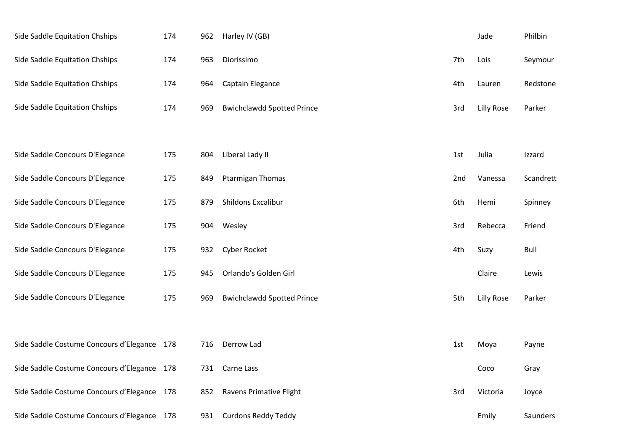| Side Saddle Equitation Chships              | 174 | 962 | Harley IV (GB)                    |     | Jade              | Philbin   |
|---------------------------------------------|-----|-----|-----------------------------------|-----|-------------------|-----------|
| Side Saddle Equitation Chships              | 174 | 963 | Diorissimo                        | 7th | Lois              | Seymour   |
| Side Saddle Equitation Chships              | 174 | 964 | Captain Elegance                  | 4th | Lauren            | Redstone  |
| Side Saddle Equitation Chships              | 174 | 969 | <b>Bwichclawdd Spotted Prince</b> | 3rd | <b>Lilly Rose</b> | Parker    |
|                                             |     |     |                                   |     |                   |           |
| Side Saddle Concours D'Elegance             | 175 | 804 | Liberal Lady II                   | 1st | Julia             | Izzard    |
| Side Saddle Concours D'Elegance             | 175 | 849 | Ptarmigan Thomas                  | 2nd | Vanessa           | Scandrett |
| Side Saddle Concours D'Elegance             | 175 | 879 | Shildons Excalibur                | 6th | Hemi              | Spinney   |
| Side Saddle Concours D'Elegance             | 175 | 904 | Wesley                            | 3rd | Rebecca           | Friend    |
| Side Saddle Concours D'Elegance             | 175 | 932 | Cyber Rocket                      | 4th | Suzy              | Bull      |
| Side Saddle Concours D'Elegance             | 175 | 945 | Orlando's Golden Girl             |     | Claire            | Lewis     |
| Side Saddle Concours D'Elegance             | 175 | 969 | <b>Bwichclawdd Spotted Prince</b> | 5th | <b>Lilly Rose</b> | Parker    |
|                                             |     |     |                                   |     |                   |           |
| Side Saddle Costume Concours d'Elegance 178 |     | 716 | Derrow Lad                        | 1st | Moya              | Payne     |
| Side Saddle Costume Concours d'Elegance 178 |     | 731 | Carne Lass                        |     | Coco              | Gray      |
| Side Saddle Costume Concours d'Elegance 178 |     | 852 | Ravens Primative Flight           | 3rd | Victoria          | Joyce     |
| Side Saddle Costume Concours d'Elegance 178 |     | 931 | <b>Curdons Reddy Teddy</b>        |     | Emily             | Saunders  |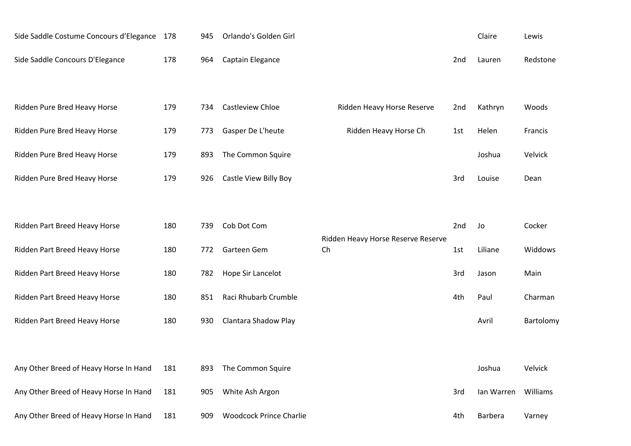| Side Saddle Costume Concours d'Elegance | 178 | 945 | Orlando's Golden Girl          |                                          |     | Claire     | Lewis     |
|-----------------------------------------|-----|-----|--------------------------------|------------------------------------------|-----|------------|-----------|
| Side Saddle Concours D'Elegance         | 178 | 964 | Captain Elegance               |                                          | 2nd | Lauren     | Redstone  |
|                                         |     |     |                                |                                          |     |            |           |
| Ridden Pure Bred Heavy Horse            | 179 | 734 | Castleview Chloe               | Ridden Heavy Horse Reserve               | 2nd | Kathryn    | Woods     |
| Ridden Pure Bred Heavy Horse            | 179 | 773 | Gasper De L'heute              | Ridden Heavy Horse Ch                    | 1st | Helen      | Francis   |
| Ridden Pure Bred Heavy Horse            | 179 | 893 | The Common Squire              |                                          |     | Joshua     | Velvick   |
| Ridden Pure Bred Heavy Horse            | 179 | 926 | Castle View Billy Boy          |                                          | 3rd | Louise     | Dean      |
|                                         |     |     |                                |                                          |     |            |           |
| Ridden Part Breed Heavy Horse           | 180 | 739 | Cob Dot Com                    |                                          | 2nd | Jo         | Cocker    |
| Ridden Part Breed Heavy Horse           | 180 | 772 | Garteen Gem                    | Ridden Heavy Horse Reserve Reserve<br>Ch | 1st | Liliane    | Widdows   |
| Ridden Part Breed Heavy Horse           | 180 | 782 | Hope Sir Lancelot              |                                          | 3rd | Jason      | Main      |
| Ridden Part Breed Heavy Horse           | 180 | 851 | Raci Rhubarb Crumble           |                                          | 4th | Paul       | Charman   |
| Ridden Part Breed Heavy Horse           | 180 | 930 | Clantara Shadow Play           |                                          |     | Avril      | Bartolomy |
|                                         |     |     |                                |                                          |     |            |           |
| Any Other Breed of Heavy Horse In Hand  | 181 | 893 | The Common Squire              |                                          |     | Joshua     | Velvick   |
| Any Other Breed of Heavy Horse In Hand  | 181 | 905 | White Ash Argon                |                                          | 3rd | Ian Warren | Williams  |
| Any Other Breed of Heavy Horse In Hand  | 181 | 909 | <b>Woodcock Prince Charlie</b> |                                          | 4th | Barbera    | Varney    |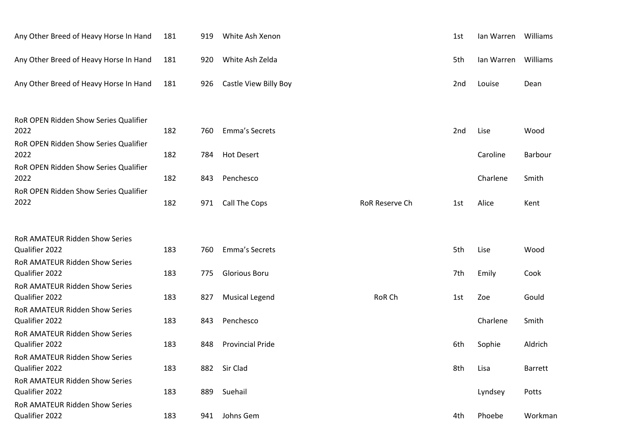| Any Other Breed of Heavy Horse In Hand                  | 181 | 919 | White Ash Xenon         |                       | 1st | Ian Warren Williams |          |
|---------------------------------------------------------|-----|-----|-------------------------|-----------------------|-----|---------------------|----------|
| Any Other Breed of Heavy Horse In Hand                  | 181 | 920 | White Ash Zelda         |                       | 5th | Ian Warren          | Williams |
| Any Other Breed of Heavy Horse In Hand                  | 181 | 926 | Castle View Billy Boy   |                       | 2nd | Louise              | Dean     |
| RoR OPEN Ridden Show Series Qualifier<br>2022           | 182 | 760 | Emma's Secrets          |                       | 2nd | Lise                | Wood     |
| RoR OPEN Ridden Show Series Qualifier<br>2022           | 182 | 784 | <b>Hot Desert</b>       |                       |     | Caroline            | Barbour  |
| RoR OPEN Ridden Show Series Qualifier<br>2022           | 182 | 843 | Penchesco               |                       |     | Charlene            | Smith    |
| RoR OPEN Ridden Show Series Qualifier<br>2022           | 182 | 971 | Call The Cops           | <b>RoR Reserve Ch</b> | 1st | Alice               | Kent     |
| <b>ROR AMATEUR Ridden Show Series</b>                   |     |     |                         |                       |     |                     |          |
| Qualifier 2022                                          | 183 | 760 | Emma's Secrets          |                       | 5th | Lise                | Wood     |
| <b>RoR AMATEUR Ridden Show Series</b><br>Qualifier 2022 | 183 | 775 | Glorious Boru           |                       | 7th | Emily               | Cook     |
| <b>RoR AMATEUR Ridden Show Series</b>                   |     |     |                         | RoR Ch                |     |                     |          |
| Qualifier 2022<br><b>RoR AMATEUR Ridden Show Series</b> | 183 | 827 | <b>Musical Legend</b>   |                       | 1st | Zoe                 | Gould    |
| Qualifier 2022                                          | 183 | 843 | Penchesco               |                       |     | Charlene            | Smith    |
| <b>RoR AMATEUR Ridden Show Series</b><br>Qualifier 2022 | 183 | 848 | <b>Provincial Pride</b> |                       | 6th | Sophie              | Aldrich  |
| <b>RoR AMATEUR Ridden Show Series</b><br>Qualifier 2022 | 183 |     | 882 Sir Clad            |                       | 8th | Lisa                | Barrett  |
| <b>RoR AMATEUR Ridden Show Series</b><br>Qualifier 2022 | 183 | 889 | Suehail                 |                       |     | Lyndsey             | Potts    |
| <b>ROR AMATEUR Ridden Show Series</b><br>Qualifier 2022 | 183 | 941 | Johns Gem               |                       | 4th | Phoebe              | Workman  |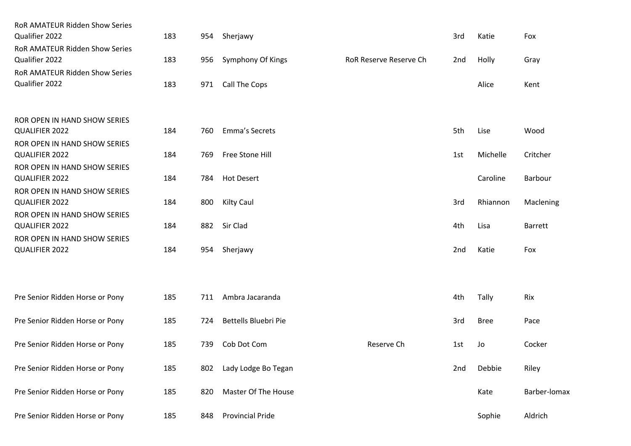| <b>RoR AMATEUR Ridden Show Series</b>                   |     |     |                             |                        |     |             |                |
|---------------------------------------------------------|-----|-----|-----------------------------|------------------------|-----|-------------|----------------|
| Qualifier 2022                                          | 183 | 954 | Sherjawy                    |                        | 3rd | Katie       | Fox            |
| <b>RoR AMATEUR Ridden Show Series</b><br>Qualifier 2022 | 183 | 956 | Symphony Of Kings           | RoR Reserve Reserve Ch | 2nd | Holly       | Gray           |
| <b>RoR AMATEUR Ridden Show Series</b><br>Qualifier 2022 | 183 | 971 | Call The Cops               |                        |     | Alice       | Kent           |
| <b>ROR OPEN IN HAND SHOW SERIES</b><br>QUALIFIER 2022   | 184 | 760 | Emma's Secrets              |                        | 5th | Lise        | Wood           |
| ROR OPEN IN HAND SHOW SERIES<br>QUALIFIER 2022          | 184 | 769 | Free Stone Hill             |                        | 1st | Michelle    | Critcher       |
| ROR OPEN IN HAND SHOW SERIES<br>QUALIFIER 2022          | 184 | 784 | <b>Hot Desert</b>           |                        |     | Caroline    | Barbour        |
| ROR OPEN IN HAND SHOW SERIES<br>QUALIFIER 2022          | 184 | 800 | Kilty Caul                  |                        | 3rd | Rhiannon    | Maclening      |
| ROR OPEN IN HAND SHOW SERIES<br>QUALIFIER 2022          | 184 | 882 | Sir Clad                    |                        | 4th | Lisa        | <b>Barrett</b> |
| ROR OPEN IN HAND SHOW SERIES<br>QUALIFIER 2022          | 184 | 954 | Sherjawy                    |                        | 2nd | Katie       | Fox            |
|                                                         |     |     |                             |                        |     |             |                |
| Pre Senior Ridden Horse or Pony                         | 185 | 711 | Ambra Jacaranda             |                        | 4th | Tally       | Rix            |
| Pre Senior Ridden Horse or Pony                         | 185 | 724 | <b>Bettells Bluebri Pie</b> |                        | 3rd | <b>Bree</b> | Pace           |
| Pre Senior Ridden Horse or Pony                         | 185 | 739 | Cob Dot Com                 | Reserve Ch             | 1st | Jo          | Cocker         |
| Pre Senior Ridden Horse or Pony                         | 185 | 802 | Lady Lodge Bo Tegan         |                        | 2nd | Debbie      | Riley          |
| Pre Senior Ridden Horse or Pony                         | 185 | 820 | Master Of The House         |                        |     | Kate        | Barber-lomax   |
| Pre Senior Ridden Horse or Pony                         | 185 | 848 | <b>Provincial Pride</b>     |                        |     | Sophie      | Aldrich        |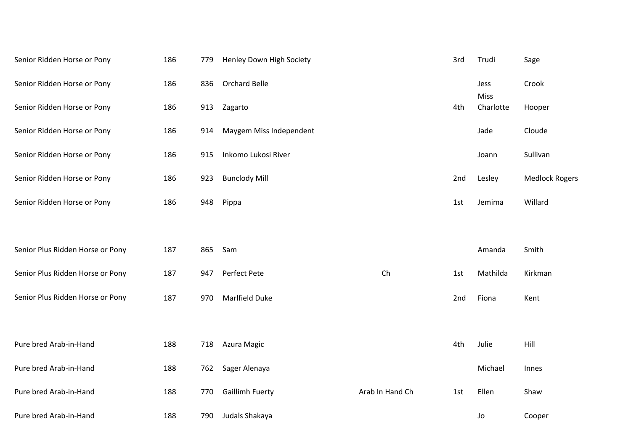| Senior Ridden Horse or Pony      | 186 | 779 | Henley Down High Society |                 | 3rd | Trudi                    | Sage                  |
|----------------------------------|-----|-----|--------------------------|-----------------|-----|--------------------------|-----------------------|
| Senior Ridden Horse or Pony      | 186 | 836 | <b>Orchard Belle</b>     |                 |     | Jess                     | Crook                 |
| Senior Ridden Horse or Pony      | 186 | 913 | Zagarto                  |                 | 4th | <b>Miss</b><br>Charlotte | Hooper                |
| Senior Ridden Horse or Pony      | 186 | 914 | Maygem Miss Independent  |                 |     | Jade                     | Cloude                |
| Senior Ridden Horse or Pony      | 186 | 915 | Inkomo Lukosi River      |                 |     | Joann                    | Sullivan              |
| Senior Ridden Horse or Pony      | 186 | 923 | <b>Bunclody Mill</b>     |                 | 2nd | Lesley                   | <b>Medlock Rogers</b> |
| Senior Ridden Horse or Pony      | 186 | 948 | Pippa                    |                 | 1st | Jemima                   | Willard               |
|                                  |     |     |                          |                 |     |                          |                       |
| Senior Plus Ridden Horse or Pony | 187 | 865 | Sam                      |                 |     | Amanda                   | Smith                 |
| Senior Plus Ridden Horse or Pony | 187 | 947 | Perfect Pete             | Ch              | 1st | Mathilda                 | Kirkman               |
| Senior Plus Ridden Horse or Pony | 187 | 970 | <b>Marlfield Duke</b>    |                 | 2nd | Fiona                    | Kent                  |
|                                  |     |     |                          |                 |     |                          |                       |
| Pure bred Arab-in-Hand           | 188 | 718 | Azura Magic              |                 | 4th | Julie                    | Hill                  |
| Pure bred Arab-in-Hand           | 188 | 762 | Sager Alenaya            |                 |     | Michael                  | Innes                 |
| Pure bred Arab-in-Hand           | 188 | 770 | <b>Gaillimh Fuerty</b>   | Arab In Hand Ch | 1st | Ellen                    | Shaw                  |
| Pure bred Arab-in-Hand           | 188 | 790 | Judals Shakaya           |                 |     | Jo                       | Cooper                |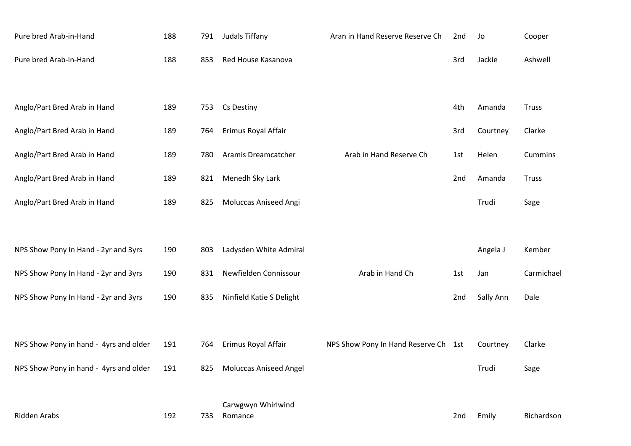| Pure bred Arab-in-Hand                 | 188 | 791 | Judals Tiffany                | Aran in Hand Reserve Reserve Ch      | 2nd | Jo        | Cooper         |
|----------------------------------------|-----|-----|-------------------------------|--------------------------------------|-----|-----------|----------------|
| Pure bred Arab-in-Hand                 | 188 | 853 | Red House Kasanova            |                                      | 3rd | Jackie    | Ashwell        |
|                                        |     |     |                               |                                      |     |           |                |
| Anglo/Part Bred Arab in Hand           | 189 | 753 | Cs Destiny                    |                                      | 4th | Amanda    | <b>Truss</b>   |
| Anglo/Part Bred Arab in Hand           | 189 | 764 | Erimus Royal Affair           |                                      | 3rd | Courtney  | Clarke         |
| Anglo/Part Bred Arab in Hand           | 189 | 780 | Aramis Dreamcatcher           | Arab in Hand Reserve Ch              | 1st | Helen     | <b>Cummins</b> |
| Anglo/Part Bred Arab in Hand           | 189 | 821 | Menedh Sky Lark               |                                      | 2nd | Amanda    | <b>Truss</b>   |
| Anglo/Part Bred Arab in Hand           | 189 | 825 | <b>Moluccas Aniseed Angi</b>  |                                      |     | Trudi     | Sage           |
|                                        |     |     |                               |                                      |     |           |                |
| NPS Show Pony In Hand - 2yr and 3yrs   | 190 | 803 | Ladysden White Admiral        |                                      |     | Angela J  | Kember         |
| NPS Show Pony In Hand - 2yr and 3yrs   | 190 | 831 | Newfielden Connissour         | Arab in Hand Ch                      | 1st | Jan       | Carmichael     |
| NPS Show Pony In Hand - 2yr and 3yrs   | 190 | 835 | Ninfield Katie S Delight      |                                      | 2nd | Sally Ann | Dale           |
|                                        |     |     |                               |                                      |     |           |                |
| NPS Show Pony in hand - 4yrs and older | 191 | 764 | Erimus Royal Affair           | NPS Show Pony In Hand Reserve Ch 1st |     | Courtney  | Clarke         |
| NPS Show Pony in hand - 4yrs and older | 191 | 825 | <b>Moluccas Aniseed Angel</b> |                                      |     | Trudi     | Sage           |
|                                        |     |     |                               |                                      |     |           |                |
| Ridden Arabs                           | 192 | 733 | Carwgwyn Whirlwind<br>Romance |                                      | 2nd | Emily     | Richardson     |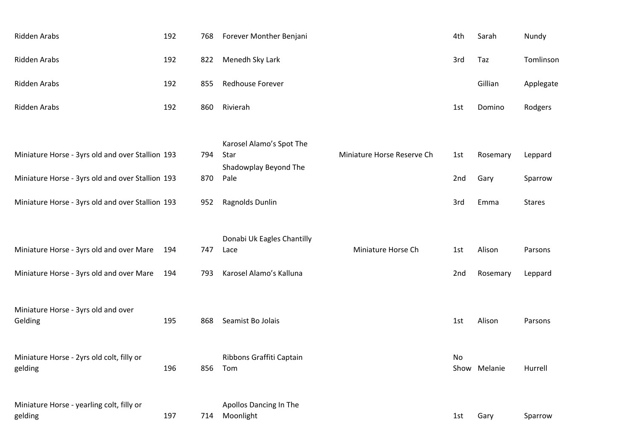| <b>Ridden Arabs</b>                                  | 192 | 768 | Forever Monther Benjani             |                            | 4th | Sarah        | Nundy         |
|------------------------------------------------------|-----|-----|-------------------------------------|----------------------------|-----|--------------|---------------|
| Ridden Arabs                                         | 192 | 822 | Menedh Sky Lark                     |                            | 3rd | Taz          | Tomlinson     |
| Ridden Arabs                                         | 192 | 855 | <b>Redhouse Forever</b>             |                            |     | Gillian      | Applegate     |
| Ridden Arabs                                         | 192 | 860 | Rivierah                            |                            | 1st | Domino       | Rodgers       |
|                                                      |     |     |                                     |                            |     |              |               |
| Miniature Horse - 3yrs old and over Stallion 193     |     | 794 | Karosel Alamo's Spot The<br>Star    | Miniature Horse Reserve Ch | 1st | Rosemary     | Leppard       |
| Miniature Horse - 3yrs old and over Stallion 193     |     | 870 | Shadowplay Beyond The<br>Pale       |                            | 2nd | Gary         | Sparrow       |
| Miniature Horse - 3yrs old and over Stallion 193     |     | 952 | Ragnolds Dunlin                     |                            | 3rd | Emma         | <b>Stares</b> |
|                                                      |     |     |                                     |                            |     |              |               |
| Miniature Horse - 3yrs old and over Mare             | 194 | 747 | Donabi Uk Eagles Chantilly<br>Lace  | Miniature Horse Ch         | 1st | Alison       | Parsons       |
| Miniature Horse - 3yrs old and over Mare             | 194 | 793 | Karosel Alamo's Kalluna             |                            | 2nd | Rosemary     | Leppard       |
|                                                      |     |     |                                     |                            |     |              |               |
| Miniature Horse - 3yrs old and over<br>Gelding       | 195 | 868 | Seamist Bo Jolais                   |                            | 1st | Alison       | Parsons       |
|                                                      |     |     |                                     |                            |     |              |               |
| Miniature Horse - 2yrs old colt, filly or<br>gelding | 196 | 856 | Ribbons Graffiti Captain<br>Tom     |                            | No  | Show Melanie | Hurrell       |
|                                                      |     |     |                                     |                            |     |              |               |
| Miniature Horse - yearling colt, filly or<br>gelding | 197 | 714 | Apollos Dancing In The<br>Moonlight |                            | 1st | Gary         | Sparrow       |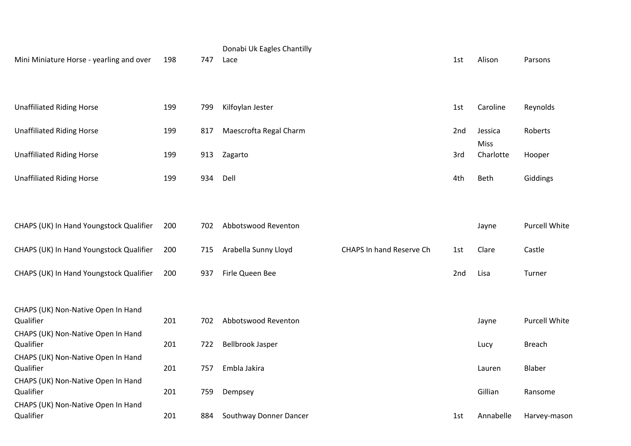| Mini Miniature Horse - yearling and over        | 198 | 747 | Donabi Uk Eagles Chantilly<br>Lace |                                 | 1st | Alison                 | Parsons              |
|-------------------------------------------------|-----|-----|------------------------------------|---------------------------------|-----|------------------------|----------------------|
| <b>Unaffiliated Riding Horse</b>                | 199 | 799 | Kilfoylan Jester                   |                                 | 1st | Caroline               | Reynolds             |
| <b>Unaffiliated Riding Horse</b>                | 199 | 817 | Maescrofta Regal Charm             |                                 | 2nd | Jessica<br><b>Miss</b> | Roberts              |
| <b>Unaffiliated Riding Horse</b>                | 199 | 913 | Zagarto                            |                                 | 3rd | Charlotte              | Hooper               |
| <b>Unaffiliated Riding Horse</b>                | 199 | 934 | Dell                               |                                 | 4th | Beth                   | Giddings             |
|                                                 |     |     |                                    |                                 |     |                        |                      |
| CHAPS (UK) In Hand Youngstock Qualifier         | 200 | 702 | Abbotswood Reventon                |                                 |     | Jayne                  | <b>Purcell White</b> |
| CHAPS (UK) In Hand Youngstock Qualifier         | 200 | 715 | Arabella Sunny Lloyd               | <b>CHAPS In hand Reserve Ch</b> | 1st | Clare                  | Castle               |
| CHAPS (UK) In Hand Youngstock Qualifier         | 200 | 937 | Firle Queen Bee                    |                                 | 2nd | Lisa                   | Turner               |
| CHAPS (UK) Non-Native Open In Hand              |     |     |                                    |                                 |     |                        |                      |
| Qualifier<br>CHAPS (UK) Non-Native Open In Hand | 201 | 702 | Abbotswood Reventon                |                                 |     | Jayne                  | <b>Purcell White</b> |
| Qualifier                                       | 201 | 722 | <b>Bellbrook Jasper</b>            |                                 |     | Lucy                   | <b>Breach</b>        |
| CHAPS (UK) Non-Native Open In Hand<br>Qualifier | 201 | 757 | Embla Jakira                       |                                 |     | Lauren                 | <b>Blaber</b>        |
| CHAPS (UK) Non-Native Open In Hand<br>Qualifier | 201 | 759 | Dempsey                            |                                 |     | Gillian                | Ransome              |
| CHAPS (UK) Non-Native Open In Hand<br>Qualifier | 201 | 884 | Southway Donner Dancer             |                                 | 1st | Annabelle              | Harvey-mason         |
|                                                 |     |     |                                    |                                 |     |                        |                      |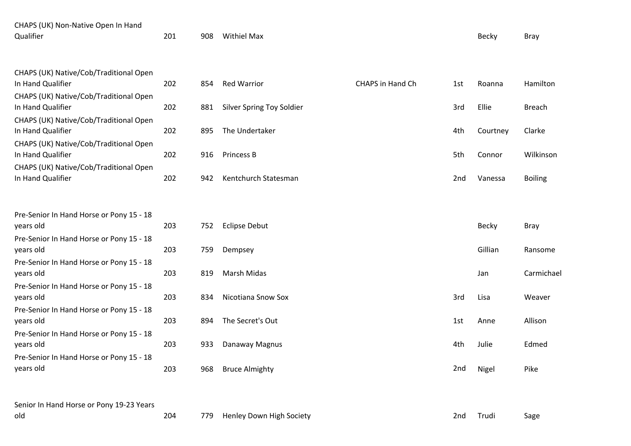| CHAPS (UK) Non-Native Open In Hand<br>Qualifier                                                       | 201 | 908 | <b>Withiel Max</b>        |                  |                 | <b>Becky</b> | <b>Bray</b>    |
|-------------------------------------------------------------------------------------------------------|-----|-----|---------------------------|------------------|-----------------|--------------|----------------|
| CHAPS (UK) Native/Cob/Traditional Open<br>In Hand Qualifier                                           | 202 | 854 | <b>Red Warrior</b>        | CHAPS in Hand Ch | 1st             | Roanna       | Hamilton       |
| CHAPS (UK) Native/Cob/Traditional Open<br>In Hand Qualifier                                           | 202 | 881 | Silver Spring Toy Soldier |                  | 3rd             | Ellie        | <b>Breach</b>  |
| CHAPS (UK) Native/Cob/Traditional Open<br>In Hand Qualifier<br>CHAPS (UK) Native/Cob/Traditional Open | 202 | 895 | The Undertaker            |                  | 4th             | Courtney     | Clarke         |
| In Hand Qualifier<br>CHAPS (UK) Native/Cob/Traditional Open                                           | 202 | 916 | Princess B                |                  | 5th             | Connor       | Wilkinson      |
| In Hand Qualifier                                                                                     | 202 | 942 | Kentchurch Statesman      |                  | 2 <sub>nd</sub> | Vanessa      | <b>Boiling</b> |
| Pre-Senior In Hand Horse or Pony 15 - 18                                                              |     |     |                           |                  |                 |              |                |
| years old                                                                                             | 203 | 752 | <b>Eclipse Debut</b>      |                  |                 | <b>Becky</b> | <b>Bray</b>    |
| Pre-Senior In Hand Horse or Pony 15 - 18<br>years old                                                 | 203 | 759 | Dempsey                   |                  |                 | Gillian      | Ransome        |
| Pre-Senior In Hand Horse or Pony 15 - 18<br>years old                                                 | 203 | 819 | Marsh Midas               |                  |                 | Jan          | Carmichael     |
| Pre-Senior In Hand Horse or Pony 15 - 18<br>years old                                                 | 203 | 834 | Nicotiana Snow Sox        |                  | 3rd             | Lisa         | Weaver         |
| Pre-Senior In Hand Horse or Pony 15 - 18<br>years old                                                 | 203 | 894 | The Secret's Out          |                  | 1st             | Anne         | Allison        |
| Pre-Senior In Hand Horse or Pony 15 - 18<br>years old                                                 | 203 | 933 | Danaway Magnus            |                  | 4th             | Julie        | Edmed          |
| Pre-Senior In Hand Horse or Pony 15 - 18<br>years old                                                 | 203 | 968 | <b>Bruce Almighty</b>     |                  | 2nd             | Nigel        | Pike           |
| Senior In Hand Horse or Pony 19-23 Years                                                              |     |     |                           |                  |                 |              |                |
| old                                                                                                   | 204 | 779 | Henley Down High Society  |                  | 2nd             | Trudi        | Sage           |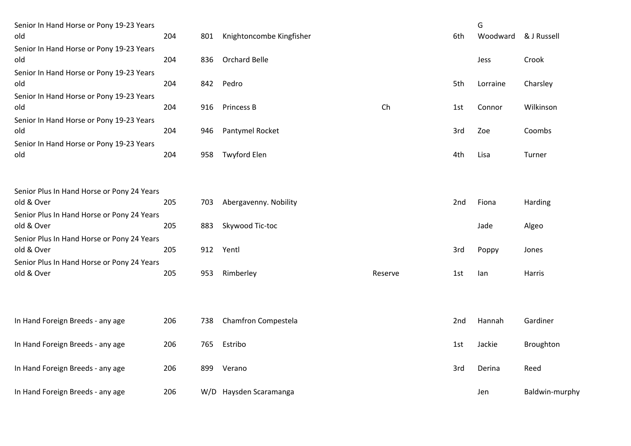| Senior In Hand Horse or Pony 19-23 Years<br>old          | 204 | 801       | Knightoncombe Kingfisher |         | 6th | G<br>Woodward | & J Russell    |
|----------------------------------------------------------|-----|-----------|--------------------------|---------|-----|---------------|----------------|
| Senior In Hand Horse or Pony 19-23 Years<br>old          | 204 | 836       | <b>Orchard Belle</b>     |         |     | Jess          | Crook          |
| Senior In Hand Horse or Pony 19-23 Years<br>old          | 204 | 842       | Pedro                    |         | 5th | Lorraine      | Charsley       |
| Senior In Hand Horse or Pony 19-23 Years<br>old          | 204 | 916       | <b>Princess B</b>        | Ch      | 1st | Connor        | Wilkinson      |
| Senior In Hand Horse or Pony 19-23 Years<br>old          | 204 | 946       | Pantymel Rocket          |         | 3rd | Zoe           | Coombs         |
| Senior In Hand Horse or Pony 19-23 Years<br>old          | 204 | 958       | <b>Twyford Elen</b>      |         | 4th | Lisa          | Turner         |
| Senior Plus In Hand Horse or Pony 24 Years               |     |           |                          |         |     |               |                |
| old & Over<br>Senior Plus In Hand Horse or Pony 24 Years | 205 | 703       | Abergavenny. Nobility    |         | 2nd | Fiona         | Harding        |
| old & Over                                               | 205 | 883       | Skywood Tic-toc          |         |     | Jade          | Algeo          |
| Senior Plus In Hand Horse or Pony 24 Years<br>old & Over | 205 | 912 Yentl |                          |         | 3rd | Poppy         | Jones          |
| Senior Plus In Hand Horse or Pony 24 Years<br>old & Over | 205 | 953       | Rimberley                | Reserve | 1st | lan           | Harris         |
| In Hand Foreign Breeds - any age                         | 206 | 738       | Chamfron Compestela      |         | 2nd | Hannah        | Gardiner       |
|                                                          |     |           |                          |         |     |               |                |
| In Hand Foreign Breeds - any age                         | 206 | 765       | Estribo                  |         | 1st | Jackie        | Broughton      |
| In Hand Foreign Breeds - any age                         | 206 | 899       | Verano                   |         | 3rd | Derina        | Reed           |
| In Hand Foreign Breeds - any age                         | 206 |           | W/D Haysden Scaramanga   |         |     | Jen           | Baldwin-murphy |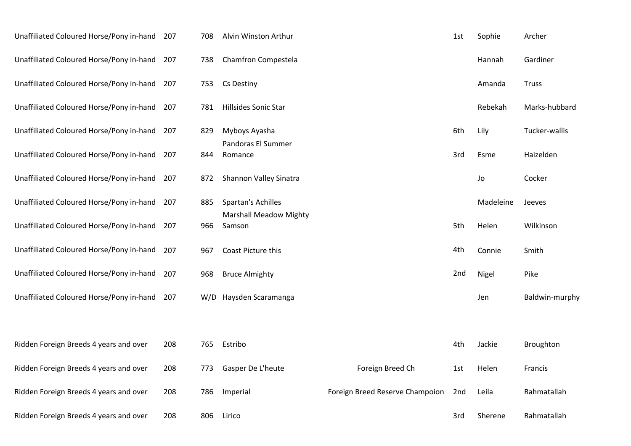| Unaffiliated Coloured Horse/Pony in-hand 207 |     | 708 | Alvin Winston Arthur                    |                                 | 1st | Sophie    | Archer         |
|----------------------------------------------|-----|-----|-----------------------------------------|---------------------------------|-----|-----------|----------------|
| Unaffiliated Coloured Horse/Pony in-hand     | 207 | 738 | Chamfron Compestela                     |                                 |     | Hannah    | Gardiner       |
| Unaffiliated Coloured Horse/Pony in-hand 207 |     | 753 | Cs Destiny                              |                                 |     | Amanda    | <b>Truss</b>   |
| Unaffiliated Coloured Horse/Pony in-hand 207 |     | 781 | <b>Hillsides Sonic Star</b>             |                                 |     | Rebekah   | Marks-hubbard  |
| Unaffiliated Coloured Horse/Pony in-hand     | 207 | 829 | Myboys Ayasha                           |                                 | 6th | Lily      | Tucker-wallis  |
| Unaffiliated Coloured Horse/Pony in-hand 207 |     | 844 | Pandoras El Summer<br>Romance           |                                 | 3rd | Esme      | Haizelden      |
| Unaffiliated Coloured Horse/Pony in-hand 207 |     | 872 | Shannon Valley Sinatra                  |                                 |     | Jo        | Cocker         |
| Unaffiliated Coloured Horse/Pony in-hand     | 207 | 885 | Spartan's Achilles                      |                                 |     | Madeleine | Jeeves         |
| Unaffiliated Coloured Horse/Pony in-hand     | 207 | 966 | <b>Marshall Meadow Mighty</b><br>Samson |                                 | 5th | Helen     | Wilkinson      |
| Unaffiliated Coloured Horse/Pony in-hand     | 207 | 967 | Coast Picture this                      |                                 | 4th | Connie    | Smith          |
| Unaffiliated Coloured Horse/Pony in-hand     | 207 | 968 | <b>Bruce Almighty</b>                   |                                 | 2nd | Nigel     | Pike           |
| Unaffiliated Coloured Horse/Pony in-hand     | 207 |     | W/D Haysden Scaramanga                  |                                 |     | Jen       | Baldwin-murphy |
|                                              |     |     |                                         |                                 |     |           |                |
| Ridden Foreign Breeds 4 years and over       | 208 | 765 | Estribo                                 |                                 | 4th | Jackie    | Broughton      |
| Ridden Foreign Breeds 4 years and over       | 208 | 773 | Gasper De L'heute                       | Foreign Breed Ch                | 1st | Helen     | Francis        |
| Ridden Foreign Breeds 4 years and over       | 208 | 786 | Imperial                                | Foreign Breed Reserve Champoion | 2nd | Leila     | Rahmatallah    |
| Ridden Foreign Breeds 4 years and over       | 208 | 806 | Lirico                                  |                                 | 3rd | Sherene   | Rahmatallah    |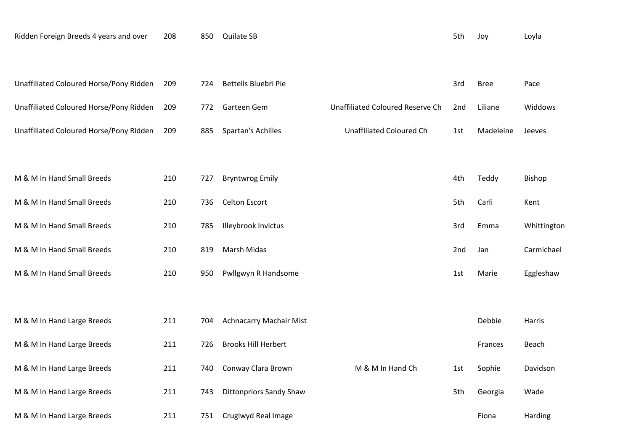| Ridden Foreign Breeds 4 years and over  | 208 | 850 | Quilate SB                     |                                  | 5th | Joy         | Loyla         |
|-----------------------------------------|-----|-----|--------------------------------|----------------------------------|-----|-------------|---------------|
|                                         |     |     |                                |                                  |     |             |               |
| Unaffiliated Coloured Horse/Pony Ridden | 209 | 724 | <b>Bettells Bluebri Pie</b>    |                                  | 3rd | <b>Bree</b> | Pace          |
| Unaffiliated Coloured Horse/Pony Ridden | 209 | 772 | Garteen Gem                    | Unaffiliated Coloured Reserve Ch | 2nd | Liliane     | Widdows       |
| Unaffiliated Coloured Horse/Pony Ridden | 209 | 885 | Spartan's Achilles             | <b>Unaffiliated Coloured Ch</b>  | 1st | Madeleine   | Jeeves        |
|                                         |     |     |                                |                                  |     |             |               |
| M & M In Hand Small Breeds              | 210 | 727 | <b>Bryntwrog Emily</b>         |                                  | 4th | Teddy       | <b>Bishop</b> |
| M & M In Hand Small Breeds              | 210 | 736 | <b>Celton Escort</b>           |                                  | 5th | Carli       | Kent          |
| M & M In Hand Small Breeds              | 210 | 785 | Illeybrook Invictus            |                                  | 3rd | Emma        | Whittington   |
| M & M In Hand Small Breeds              | 210 | 819 | <b>Marsh Midas</b>             |                                  | 2nd | Jan         | Carmichael    |
| M & M In Hand Small Breeds              | 210 | 950 | Pwllgwyn R Handsome            |                                  | 1st | Marie       | Eggleshaw     |
|                                         |     |     |                                |                                  |     |             |               |
| M & M In Hand Large Breeds              | 211 | 704 | <b>Achnacarry Machair Mist</b> |                                  |     | Debbie      | Harris        |
| M & M In Hand Large Breeds              | 211 | 726 | <b>Brooks Hill Herbert</b>     |                                  |     | Frances     | Beach         |
| M & M In Hand Large Breeds              | 211 | 740 | Conway Clara Brown             | M & M In Hand Ch                 | 1st | Sophie      | Davidson      |
| M & M In Hand Large Breeds              | 211 | 743 | <b>Dittonpriors Sandy Shaw</b> |                                  | 5th | Georgia     | Wade          |
| M & M In Hand Large Breeds              | 211 | 751 | Cruglwyd Real Image            |                                  |     | Fiona       | Harding       |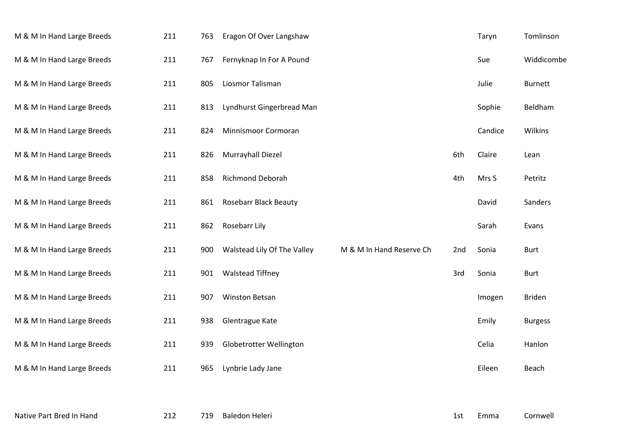| M & M In Hand Large Breeds | 211 | 763 | Eragon Of Over Langshaw      |                          |     | Taryn   | Tomlinson      |
|----------------------------|-----|-----|------------------------------|--------------------------|-----|---------|----------------|
| M & M In Hand Large Breeds | 211 | 767 | Fernyknap In For A Pound     |                          |     | Sue     | Widdicombe     |
| M & M In Hand Large Breeds | 211 | 805 | Liosmor Talisman             |                          |     | Julie   | <b>Burnett</b> |
| M & M In Hand Large Breeds | 211 | 813 | Lyndhurst Gingerbread Man    |                          |     | Sophie  | Beldham        |
| M & M In Hand Large Breeds | 211 | 824 | Minnismoor Cormoran          |                          |     | Candice | Wilkins        |
| M & M In Hand Large Breeds | 211 | 826 | Murrayhall Diezel            |                          | 6th | Claire  | Lean           |
| M & M In Hand Large Breeds | 211 | 858 | Richmond Deborah             |                          | 4th | Mrs S   | Petritz        |
| M & M In Hand Large Breeds | 211 | 861 | <b>Rosebarr Black Beauty</b> |                          |     | David   | Sanders        |
| M & M In Hand Large Breeds | 211 | 862 | Rosebarr Lily                |                          |     | Sarah   | Evans          |
| M & M In Hand Large Breeds | 211 | 900 | Walstead Lily Of The Valley  | M & M In Hand Reserve Ch | 2nd | Sonia   | <b>Burt</b>    |
| M & M In Hand Large Breeds | 211 | 901 | <b>Walstead Tiffney</b>      |                          | 3rd | Sonia   | <b>Burt</b>    |
| M & M In Hand Large Breeds | 211 | 907 | Winston Betsan               |                          |     | Imogen  | <b>Briden</b>  |
| M & M In Hand Large Breeds | 211 | 938 | Glentrague Kate              |                          |     | Emily   | <b>Burgess</b> |
| M & M In Hand Large Breeds | 211 | 939 | Globetrotter Wellington      |                          |     | Celia   | Hanlon         |
| M & M In Hand Large Breeds | 211 | 965 | Lynbrie Lady Jane            |                          |     | Eileen  | Beach          |
|                            |     |     |                              |                          |     |         |                |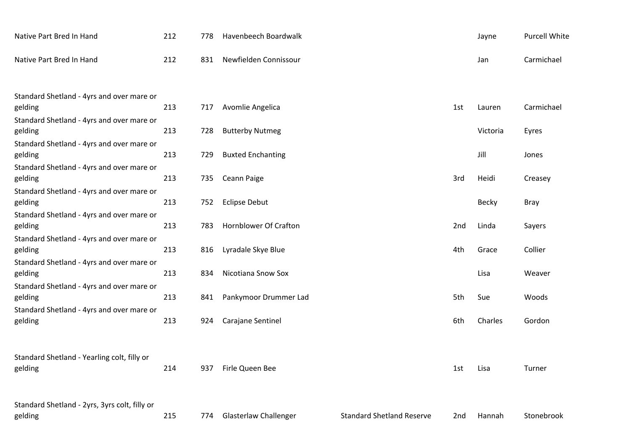| Native Part Bred In Hand                             | 212 | 778 | Havenbeech Boardwalk         |                                  |                 | Jayne        | <b>Purcell White</b> |
|------------------------------------------------------|-----|-----|------------------------------|----------------------------------|-----------------|--------------|----------------------|
| Native Part Bred In Hand                             | 212 | 831 | Newfielden Connissour        |                                  |                 | Jan          | Carmichael           |
| Standard Shetland - 4yrs and over mare or            |     |     |                              |                                  |                 |              |                      |
| gelding                                              | 213 | 717 | Avomlie Angelica             |                                  | 1st             | Lauren       | Carmichael           |
| Standard Shetland - 4yrs and over mare or<br>gelding | 213 | 728 | <b>Butterby Nutmeg</b>       |                                  |                 | Victoria     | Eyres                |
| Standard Shetland - 4yrs and over mare or            |     |     |                              |                                  |                 |              |                      |
| gelding                                              | 213 | 729 | <b>Buxted Enchanting</b>     |                                  |                 | Jill         | Jones                |
| Standard Shetland - 4yrs and over mare or            |     |     |                              |                                  |                 |              |                      |
| gelding                                              | 213 | 735 | Ceann Paige                  |                                  | 3rd             | Heidi        | Creasey              |
| Standard Shetland - 4yrs and over mare or<br>gelding | 213 | 752 | <b>Eclipse Debut</b>         |                                  |                 | <b>Becky</b> | <b>Bray</b>          |
| Standard Shetland - 4yrs and over mare or            |     |     |                              |                                  |                 |              |                      |
| gelding                                              | 213 | 783 | Hornblower Of Crafton        |                                  | 2nd             | Linda        | Sayers               |
| Standard Shetland - 4yrs and over mare or            |     |     |                              |                                  |                 |              |                      |
| gelding                                              | 213 | 816 | Lyradale Skye Blue           |                                  | 4th             | Grace        | Collier              |
| Standard Shetland - 4yrs and over mare or<br>gelding | 213 | 834 | Nicotiana Snow Sox           |                                  |                 | Lisa         | Weaver               |
| Standard Shetland - 4yrs and over mare or            |     |     |                              |                                  |                 |              |                      |
| gelding                                              | 213 | 841 | Pankymoor Drummer Lad        |                                  | 5th             | Sue          | Woods                |
| Standard Shetland - 4yrs and over mare or            |     |     |                              |                                  |                 |              |                      |
| gelding                                              | 213 | 924 | Carajane Sentinel            |                                  | 6th             | Charles      | Gordon               |
|                                                      |     |     |                              |                                  |                 |              |                      |
| Standard Shetland - Yearling colt, filly or          |     |     |                              |                                  |                 |              |                      |
| gelding                                              | 214 | 937 | Firle Queen Bee              |                                  | 1st             | Lisa         | Turner               |
|                                                      |     |     |                              |                                  |                 |              |                      |
|                                                      |     |     |                              |                                  |                 |              |                      |
| Standard Shetland - 2yrs, 3yrs colt, filly or        | 215 |     | <b>Glasterlaw Challenger</b> | <b>Standard Shetland Reserve</b> |                 | Hannah       | Stonebrook           |
| gelding                                              |     | 774 |                              |                                  | 2 <sub>nd</sub> |              |                      |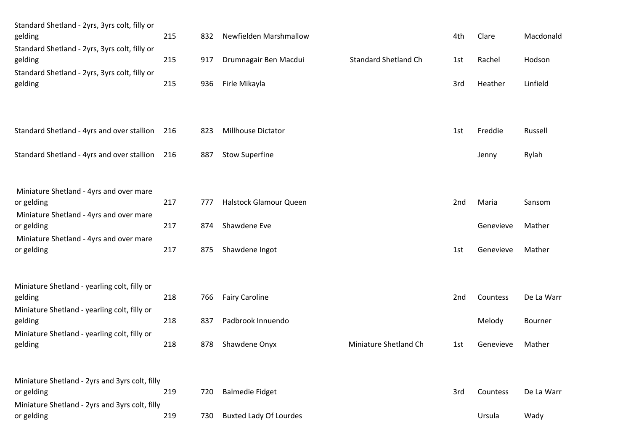| Standard Shetland - 2yrs, 3yrs colt, filly or<br>gelding     | 215 | 832 | Newfielden Marshmallow        |                             | 4th | Clare     | Macdonald  |
|--------------------------------------------------------------|-----|-----|-------------------------------|-----------------------------|-----|-----------|------------|
| Standard Shetland - 2yrs, 3yrs colt, filly or<br>gelding     | 215 | 917 | Drumnagair Ben Macdui         | <b>Standard Shetland Ch</b> | 1st | Rachel    | Hodson     |
| Standard Shetland - 2yrs, 3yrs colt, filly or<br>gelding     | 215 | 936 | Firle Mikayla                 |                             | 3rd | Heather   | Linfield   |
|                                                              |     |     |                               |                             |     |           |            |
| Standard Shetland - 4yrs and over stallion                   | 216 | 823 | <b>Millhouse Dictator</b>     |                             | 1st | Freddie   | Russell    |
| Standard Shetland - 4yrs and over stallion                   | 216 | 887 | <b>Stow Superfine</b>         |                             |     | Jenny     | Rylah      |
| Miniature Shetland - 4yrs and over mare                      |     |     |                               |                             |     |           |            |
| or gelding<br>Miniature Shetland - 4yrs and over mare        | 217 | 777 | <b>Halstock Glamour Queen</b> |                             | 2nd | Maria     | Sansom     |
| or gelding                                                   | 217 | 874 | Shawdene Eve                  |                             |     | Genevieve | Mather     |
| Miniature Shetland - 4yrs and over mare<br>or gelding        | 217 | 875 | Shawdene Ingot                |                             | 1st | Genevieve | Mather     |
| Miniature Shetland - yearling colt, filly or                 |     |     |                               |                             |     |           |            |
| gelding<br>Miniature Shetland - yearling colt, filly or      | 218 | 766 | <b>Fairy Caroline</b>         |                             | 2nd | Countess  | De La Warr |
| gelding                                                      | 218 | 837 | Padbrook Innuendo             |                             |     | Melody    | Bourner    |
| Miniature Shetland - yearling colt, filly or<br>gelding      | 218 | 878 | Shawdene Onyx                 | Miniature Shetland Ch       | 1st | Genevieve | Mather     |
|                                                              |     |     |                               |                             |     |           |            |
| Miniature Shetland - 2yrs and 3yrs colt, filly<br>or gelding | 219 | 720 | <b>Balmedie Fidget</b>        |                             | 3rd | Countess  | De La Warr |
| Miniature Shetland - 2yrs and 3yrs colt, filly<br>or gelding | 219 | 730 | <b>Buxted Lady Of Lourdes</b> |                             |     | Ursula    | Wady       |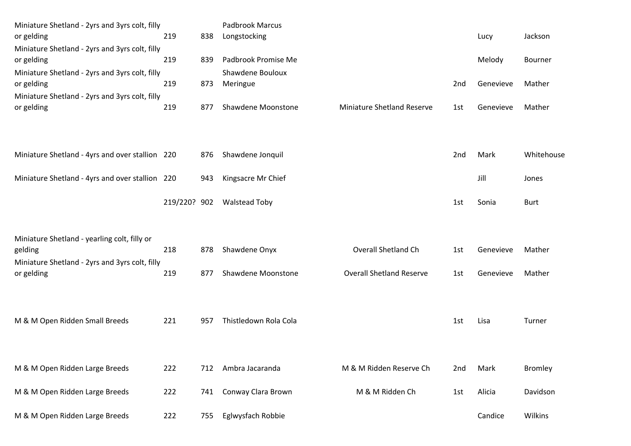| Miniature Shetland - 2yrs and 3yrs colt, filly<br>or gelding | 219          | 838 | Padbrook Marcus<br>Longstocking |                                   |     | Lucy      | Jackson        |
|--------------------------------------------------------------|--------------|-----|---------------------------------|-----------------------------------|-----|-----------|----------------|
| Miniature Shetland - 2yrs and 3yrs colt, filly<br>or gelding | 219          | 839 | Padbrook Promise Me             |                                   |     | Melody    | Bourner        |
| Miniature Shetland - 2yrs and 3yrs colt, filly<br>or gelding | 219          | 873 | Shawdene Bouloux<br>Meringue    |                                   | 2nd | Genevieve | Mather         |
| Miniature Shetland - 2yrs and 3yrs colt, filly<br>or gelding | 219          | 877 | Shawdene Moonstone              | <b>Miniature Shetland Reserve</b> | 1st | Genevieve | Mather         |
|                                                              |              |     |                                 |                                   |     |           |                |
| Miniature Shetland - 4yrs and over stallion 220              |              | 876 | Shawdene Jonquil                |                                   | 2nd | Mark      | Whitehouse     |
| Miniature Shetland - 4yrs and over stallion 220              |              | 943 | Kingsacre Mr Chief              |                                   |     | Jill      | Jones          |
|                                                              | 219/220? 902 |     | <b>Walstead Toby</b>            |                                   | 1st | Sonia     | <b>Burt</b>    |
| Miniature Shetland - yearling colt, filly or                 |              |     |                                 |                                   |     |           |                |
| gelding                                                      | 218          | 878 | Shawdene Onyx                   | <b>Overall Shetland Ch</b>        | 1st | Genevieve | Mather         |
| Miniature Shetland - 2yrs and 3yrs colt, filly<br>or gelding | 219          | 877 | Shawdene Moonstone              | <b>Overall Shetland Reserve</b>   | 1st | Genevieve | Mather         |
|                                                              |              |     |                                 |                                   |     |           |                |
| M & M Open Ridden Small Breeds                               | 221          | 957 | Thistledown Rola Cola           |                                   | 1st | Lisa      | Turner         |
|                                                              |              |     |                                 |                                   |     |           |                |
| M & M Open Ridden Large Breeds                               | 222          | 712 | Ambra Jacaranda                 | M & M Ridden Reserve Ch           | 2nd | Mark      | <b>Bromley</b> |
| M & M Open Ridden Large Breeds                               | 222          | 741 | Conway Clara Brown              | M & M Ridden Ch                   | 1st | Alicia    | Davidson       |
| M & M Open Ridden Large Breeds                               | 222          | 755 | Eglwysfach Robbie               |                                   |     | Candice   | Wilkins        |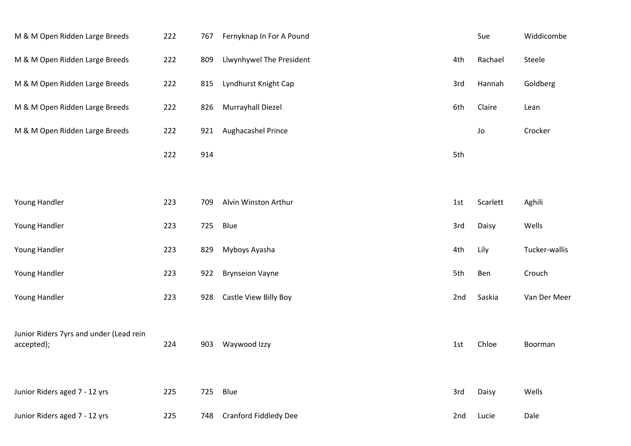| M & M Open Ridden Large Breeds                        | 222 | 767 | Fernyknap In For A Pound |     | Sue      | Widdicombe    |
|-------------------------------------------------------|-----|-----|--------------------------|-----|----------|---------------|
| M & M Open Ridden Large Breeds                        | 222 | 809 | Llwynhywel The President | 4th | Rachael  | Steele        |
| M & M Open Ridden Large Breeds                        | 222 | 815 | Lyndhurst Knight Cap     | 3rd | Hannah   | Goldberg      |
| M & M Open Ridden Large Breeds                        | 222 | 826 | Murrayhall Diezel        | 6th | Claire   | Lean          |
| M & M Open Ridden Large Breeds                        | 222 | 921 | Aughacashel Prince       |     | Jo       | Crocker       |
|                                                       | 222 | 914 |                          | 5th |          |               |
|                                                       |     |     |                          |     |          |               |
| Young Handler                                         | 223 | 709 | Alvin Winston Arthur     | 1st | Scarlett | Aghili        |
| Young Handler                                         | 223 | 725 | Blue                     | 3rd | Daisy    | Wells         |
| Young Handler                                         | 223 | 829 | Myboys Ayasha            | 4th | Lily     | Tucker-wallis |
| Young Handler                                         | 223 | 922 | <b>Brynseion Vayne</b>   | 5th | Ben      | Crouch        |
| Young Handler                                         | 223 | 928 | Castle View Billy Boy    | 2nd | Saskia   | Van Der Meer  |
| Junior Riders 7yrs and under (Lead rein<br>accepted); | 224 | 903 | Waywood Izzy             | 1st | Chloe    | Boorman       |
|                                                       |     |     |                          |     |          |               |
| Junior Riders aged 7 - 12 yrs                         | 225 | 725 | Blue                     | 3rd | Daisy    | Wells         |
| Junior Riders aged 7 - 12 yrs                         | 225 | 748 | Cranford Fiddledy Dee    | 2nd | Lucie    | Dale          |